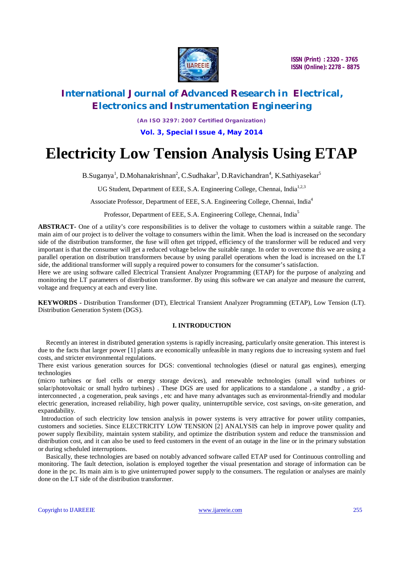

# **International Journal of Advanced Research in Electrical, Electronics and Instrumentation Engineering**

*(An ISO 3297: 2007 Certified Organization)* **Vol. 3, Special Issue 4, May 2014**

# **Electricity Low Tension Analysis Using ETAP**

B.Suganya<sup>1</sup>, D.Mohanakrishnan<sup>2</sup>, C.Sudhakar<sup>3</sup>, D.Ravichandran<sup>4</sup>, K.Sathiyasekar<sup>5</sup>

UG Student, Department of EEE, S.A. Engineering College, Chennai, India<sup>1,2,3</sup>

Associate Professor, Department of EEE, S.A. Engineering College, Chennai, India<sup>4</sup>

Professor, Department of EEE, S.A. Engineering College, Chennai, India<sup>5</sup>

**ABSTRACT-** One of a utility's core responsibilities is to deliver the voltage to customers within a suitable range. The main aim of our project is to deliver the voltage to consumers within the limit. When the load is increased on the secondary side of the distribution transformer, the fuse will often get tripped, efficiency of the transformer will be reduced and very important is that the consumer will get a reduced voltage below the suitable range. In order to overcome this we are using a parallel operation on distribution transformers because by using parallel operations when the load is increased on the LT side, the additional transformer will supply a required power to consumers for the consumer's satisfaction.

Here we are using software called Electrical Transient Analyzer Programming (ETAP) for the purpose of analyzing and monitoring the LT parameters of distribution transformer. By using this software we can analyze and measure the current, voltage and frequency at each and every line.

**KEYWORDS -** Distribution Transformer (DT), Electrical Transient Analyzer Programming (ETAP), Low Tension (LT). Distribution Generation System (DGS).

### **I. INTRODUCTION**

 Recently an interest in distributed generation systems is rapidly increasing, particularly onsite generation. This interest is due to the facts that larger power [1] plants are economically unfeasible in many regions due to increasing system and fuel costs, and stricter environmental regulations.

There exist various generation sources for DGS: conventional technologies (diesel or natural gas engines), emerging technologies

(micro turbines or fuel cells or energy storage devices), and renewable technologies (small wind turbines or solar/photovoltaic or small hydro turbines). These DGS are used for applications to a standalone, a standby, a gridinterconnected , a cogeneration, peak savings , etc and have many advantages such as environmental-friendly and modular electric generation, increased reliability, high power quality, uninterruptible service, cost savings, on-site generation, and expandability.

Introduction of such electricity low tension analysis in power systems is very attractive for power utility companies, customers and societies. Since ELECTRICITY LOW TENSION [2] ANALYSIS can help in improve power quality and power supply flexibility, maintain system stability, and optimize the distribution system and reduce the transmission and distribution cost, and it can also be used to feed customers in the event of an outage in the line or in the primary substation or during scheduled interruptions.

 Basically, these technologies are based on notably advanced software called ETAP used for Continuous controlling and monitoring. The fault detection, isolation is employed together the visual presentation and storage of information can be done in the pc. Its main aim is to give uninterrupted power supply to the consumers. The regulation or analyses are mainly done on the LT side of the distribution transformer.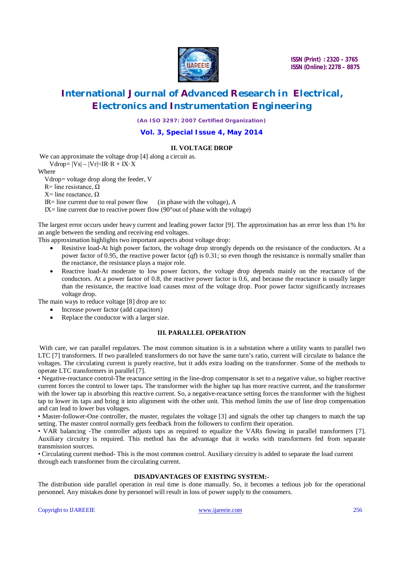

# **International Journal of Advanced Research in Electrical, Electronics and Instrumentation Engineering**

*(An ISO 3297: 2007 Certified Organization)*

#### **Vol. 3, Special Issue 4, May 2014**

### **II. VOLTAGE DROP**

We can approximate the voltage drop [4] along a circuit as.

 $Vdrop= |Vs| - |Vr| \approx IR \cdot R + IX \cdot X$ 

Where

Vdrop= voltage drop along the feeder, V

R= line resistance,  $Ω$ 

X= line reactance,  $Ω$ 

 $IR =$  line current due to real power flow (in phase with the voltage), A

IX= line current due to reactive power flow  $(90^{\circ}$ out of phase with the voltage)

The largest error occurs under heavy current and leading power factor [9]. The approximation has an error less than 1% for an angle between the sending and receiving end voltages.

This approximation highlights two important aspects about voltage drop:

- Resistive load-At high power factors, the voltage drop strongly depends on the resistance of the conductors. At a power factor of 0.95, the reactive power factor (*qf*) is 0.31; so even though the resistance is normally smaller than the reactance, the resistance plays a major role.
- Reactive load-At moderate to low power factors, the voltage drop depends mainly on the reactance of the conductors. At a power factor of 0.8, the reactive power factor is 0.6, and because the reactance is usually larger than the resistance, the reactive load causes most of the voltage drop. Poor power factor significantly increases voltage drop.

The main ways to reduce voltage [8] drop are to:

- Increase power factor (add capacitors)
- Replace the conductor with a larger size.

### **III. PARALLEL OPERATION**

With care, we can parallel regulators. The most common situation is in a substation where a utility wants to parallel two LTC [7] transformers. If two paralleled transformers do not have the same turn's ratio, current will circulate to balance the voltages. The circulating current is purely reactive, but it adds extra loading on the transformer. Some of the methods to operate LTC transformers in parallel [7].

• Negative-reactance control-The reactance setting in the line-drop compensator is set to a negative value, so higher reactive current forces the control to lower taps. The transformer with the higher tap has more reactive current, and the transformer with the lower tap is absorbing this reactive current. So, a negative-reactance setting forces the transformer with the highest tap to lower its taps and bring it into alignment with the other unit. This method limits the use of line drop compensation and can lead to lower bus voltages.

• Master-follower-One controller, the master, regulates the voltage [3] and signals the other tap changers to match the tap setting. The master control normally gets feedback from the followers to confirm their operation.

• VAR balancing -The controller adjusts taps as required to equalize the VARs flowing in parallel transformers [7]. Auxiliary circuitry is required. This method has the advantage that it works with transformers fed from separate transmission sources.

• Circulating current method- This is the most common control. Auxiliary circuitry is added to separate the load current through each transformer from the circulating current.

### **DISADVANTAGES OF EXISTING SYSTEM:-**

The distribution side parallel operation in real time is done manually. So, it becomes a tedious job for the operational personnel. Any mistakes done by personnel will result in loss of power supply to the consumers.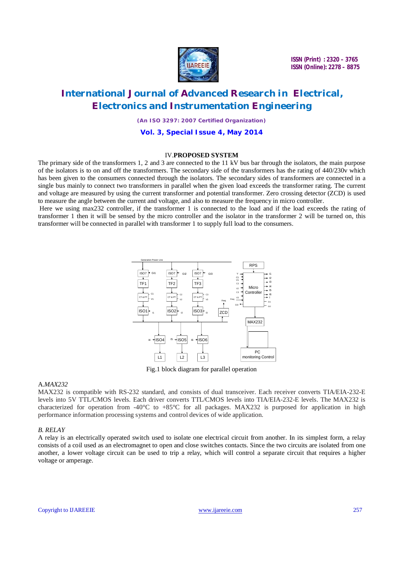

### **International Journal of Advanced Research in Electrical, Electronics and Instrumentation Engineering**

*(An ISO 3297: 2007 Certified Organization)*

#### **Vol. 3, Special Issue 4, May 2014**

#### IV.**PROPOSED SYSTEM**

The primary side of the transformers 1, 2 and 3 are connected to the 11 kV bus bar through the isolators, the main purpose of the isolators is to on and off the transformers. The secondary side of the transformers has the rating of 440/230v which has been given to the consumers connected through the isolators. The secondary sides of transformers are connected in a single bus mainly to connect two transformers in parallel when the given load exceeds the transformer rating. The current and voltage are measured by using the current transformer and potential transformer. Zero crossing detector (ZCD) is used to measure the angle between the current and voltage, and also to measure the frequency in micro controller.

Here we using max232 controller, if the transformer 1 is connected to the load and if the load exceeds the rating of transformer 1 then it will be sensed by the micro controller and the isolator in the transformer 2 will be turned on, this transformer will be connected in parallel with transformer 1 to supply full load to the consumers.



Fig.1 block diagram for parallel operation

#### A.*MAX232*

MAX232 is compatible with RS-232 standard, and consists of dual transceiver. Each receiver converts TIA/EIA-232-E levels into 5V TTL/CMOS levels. Each driver converts TTL/CMOS levels into TIA/EIA-232-E levels. The MAX232 is characterized for operation from -40°C to +85°C for all packages. MAX232 is purposed for application in high performance information processing systems and control devices of wide application.

#### *B. RELAY*

A relay is an electrically operated switch used to isolate one electrical circuit from another. In its simplest form, a relay consists of a coil used as an electromagnet to open and close switches contacts. Since the two circuits are isolated from one another, a lower voltage circuit can be used to trip a relay, which will control a separate circuit that requires a higher voltage or amperage.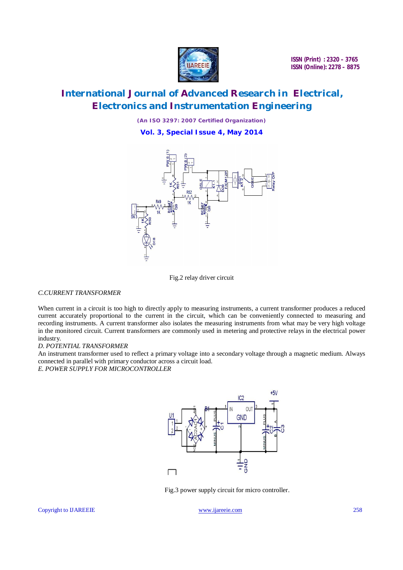

# **International Journal of Advanced Research in Electrical, Electronics and Instrumentation Engineering**

*(An ISO 3297: 2007 Certified Organization)*

**Vol. 3, Special Issue 4, May 2014**





### *C.CURRENT TRANSFORMER*

When current in a circuit is too high to directly apply to measuring instruments, a current transformer produces a reduced current accurately proportional to the current in the circuit, which can be conveniently connected to measuring and recording instruments. A current transformer also isolates the measuring instruments from what may be very high voltage in the monitored circuit. Current transformers are commonly used in metering and protective relays in the electrical power industry.

#### *D. POTENTIAL TRANSFORMER*

An instrument transformer used to reflect a primary voltage into a secondary voltage through a magnetic medium. Always connected in parallel with primary conductor across a circuit load.

*E. POWER SUPPLY FOR MICROCONTROLLER*



Fig.3 power supply circuit for micro controller.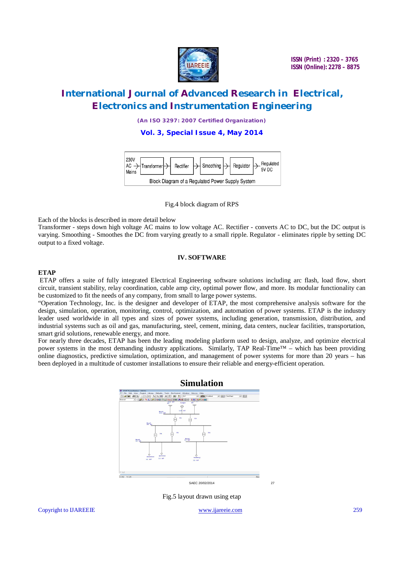

# **International Journal of Advanced Research in Electrical, Electronics and Instrumentation Engineering**

*(An ISO 3297: 2007 Certified Organization)*

**Vol. 3, Special Issue 4, May 2014**



Fig.4 block diagram of RPS

Each of the blocks is described in more detail below

Transformer - steps down high voltage AC mains to low voltage AC. Rectifier - converts AC to DC, but the DC output is varying. Smoothing - Smoothes the DC from varying greatly to a small ripple. Regulator - eliminates ripple by setting DC output to a fixed voltage.

### **IV. SOFTWARE**

#### **ETAP**

ETAP offers a suite of fully integrated Electrical Engineering software solutions including arc flash, load flow, short circuit, transient stability, relay coordination, cable amp city, optimal power flow, and more. Its modular functionality can be customized to fit the needs of any company, from small to large power systems.

"Operation Technology, Inc. is the designer and developer of ETAP, the most comprehensive analysis software for the design, simulation, operation, monitoring, control, optimization, and automation of power systems. ETAP is the industry leader used worldwide in all types and sizes of power systems, including generation, transmission, distribution, and industrial systems such as oil and gas, manufacturing, steel, cement, mining, data centers, nuclear facilities, transportation, smart grid solutions, renewable energy, and more.

For nearly three decades, ETAP has been the leading modeling platform used to design, analyze, and optimize electrical power systems in the most demanding industry applications. Similarly, TAP Real-Time™ – which has been providing online diagnostics, predictive simulation, optimization, and management of power systems for more than 20 years – has been deployed in a multitude of customer installations to ensure their reliable and energy-efficient operation.



Fig.5 layout drawn using etap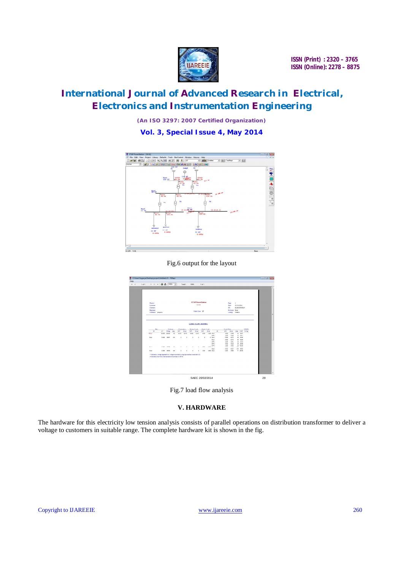

# **International Journal of Advanced Research in Electrical, Electronics and Instrumentation Engineering**

*(An ISO 3297: 2007 Certified Organization)*

**Vol. 3, Special Issue 4, May 2014**



#### Fig.6 output for the layout



Fig.7 load flow analysis

### **V. HARDWARE**

The hardware for this electricity low tension analysis consists of parallel operations on distribution transformer to deliver a voltage to customers in suitable range. The complete hardware kit is shown in the fig.